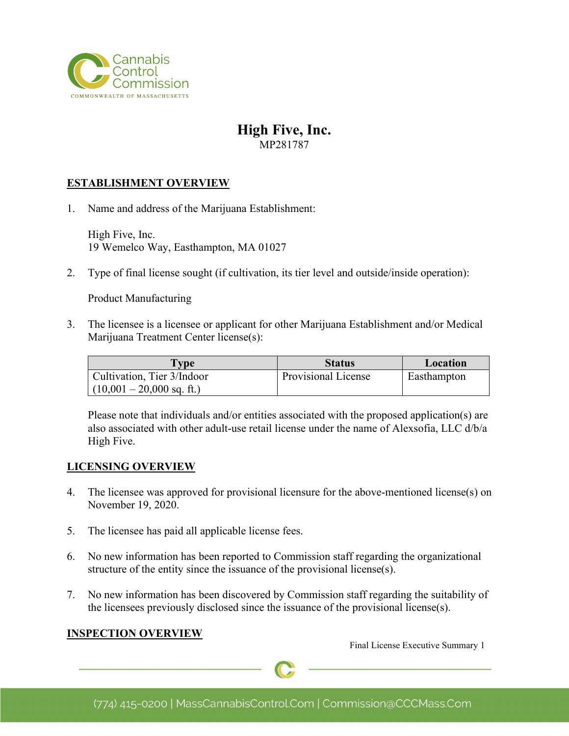

# **High Five, Inc.**

MP281787

### **ESTABLISHMENT OVERVIEW**

1. Name and address of the Marijuana Establishment:

High Five, Inc. 19 Wemelco Way, Easthampton, MA 01027

2. Type of final license sought (if cultivation, its tier level and outside/inside operation):

Product Manufacturing

3. The licensee is a licensee or applicant for other Marijuana Establishment and/or Medical Marijuana Treatment Center license(s):

| <b>Type</b>                                               | <b>Status</b>       | Location    |
|-----------------------------------------------------------|---------------------|-------------|
| Cultivation, Tier 3/Indoor<br>$(10,001 - 20,000$ sq. ft.) | Provisional License | Easthampton |

Please note that individuals and/or entities associated with the proposed application(s) are also associated with other adult-use retail license under the name of Alexsofia, LLC d/b/a High Five.

#### **LICENSING OVERVIEW**

- 4. The licensee was approved for provisional licensure for the above-mentioned license(s) on November 19, 2020.
- 5. The licensee has paid all applicable license fees.
- 6. No new information has been reported to Commission staff regarding the organizational structure of the entity since the issuance of the provisional license(s).
- 7. No new information has been discovered by Commission staff regarding the suitability of the licensees previously disclosed since the issuance of the provisional license(s).

#### **INSPECTION OVERVIEW**

Final License Executive Summary 1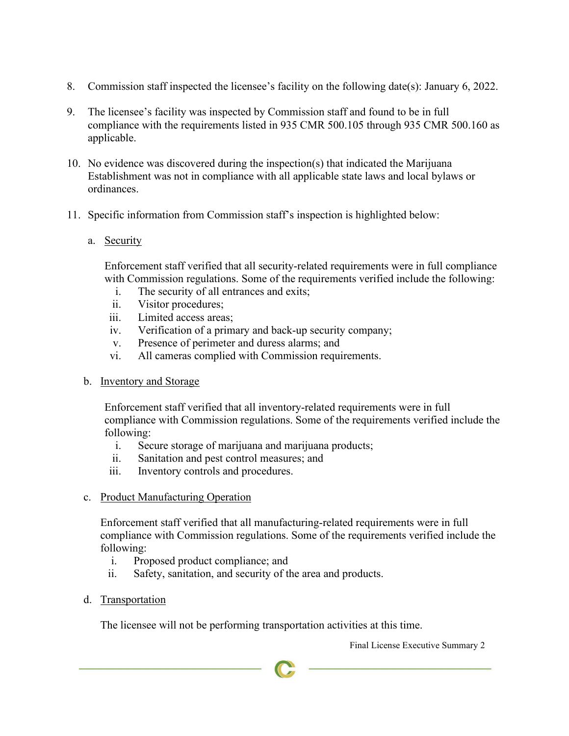- 8. Commission staff inspected the licensee's facility on the following date(s): January 6, 2022.
- 9. The licensee's facility was inspected by Commission staff and found to be in full compliance with the requirements listed in 935 CMR 500.105 through 935 CMR 500.160 as applicable.
- 10. No evidence was discovered during the inspection(s) that indicated the Marijuana Establishment was not in compliance with all applicable state laws and local bylaws or ordinances.
- 11. Specific information from Commission staff's inspection is highlighted below:
	- a. Security

Enforcement staff verified that all security-related requirements were in full compliance with Commission regulations. Some of the requirements verified include the following:

- i. The security of all entrances and exits;
- ii. Visitor procedures;
- iii. Limited access areas;
- iv. Verification of a primary and back-up security company;
- v. Presence of perimeter and duress alarms; and
- vi. All cameras complied with Commission requirements.
- b. Inventory and Storage

Enforcement staff verified that all inventory-related requirements were in full compliance with Commission regulations. Some of the requirements verified include the following:

- i. Secure storage of marijuana and marijuana products;
- ii. Sanitation and pest control measures; and
- iii. Inventory controls and procedures.
- c. Product Manufacturing Operation

Enforcement staff verified that all manufacturing-related requirements were in full compliance with Commission regulations. Some of the requirements verified include the following:

- i. Proposed product compliance; and
- ii. Safety, sanitation, and security of the area and products.
- d. Transportation

The licensee will not be performing transportation activities at this time.

Final License Executive Summary 2